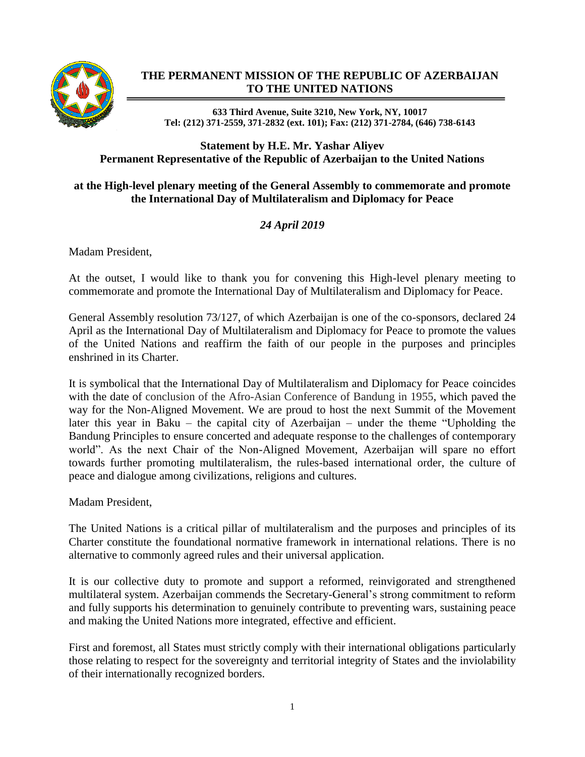

## **THE PERMANENT MISSION OF THE REPUBLIC OF AZERBAIJAN TO THE UNITED NATIONS**

**633 Third Avenue, Suite 3210, New York, NY, 10017 Tel: (212) 371-2559, 371-2832 (ext. 101); Fax: (212) 371-2784, (646) 738-6143**

## **Statement by H.E. Mr. Yashar Aliyev Permanent Representative of the Republic of Azerbaijan to the United Nations**

## **at the High-level plenary meeting of the General Assembly to commemorate and promote the International Day of Multilateralism and Diplomacy for Peace**

## *24 April 2019*

Madam President,

At the outset, I would like to thank you for convening this High-level plenary meeting to commemorate and promote the International Day of Multilateralism and Diplomacy for Peace.

General Assembly resolution 73/127, of which Azerbaijan is one of the co-sponsors, declared 24 April as the International Day of Multilateralism and Diplomacy for Peace to promote the values of the United Nations and reaffirm the faith of our people in the purposes and principles enshrined in its Charter.

It is symbolical that the International Day of Multilateralism and Diplomacy for Peace coincides with the date of conclusion of the Afro-Asian Conference of Bandung in 1955, which paved the way for the Non-Aligned Movement. We are proud to host the next Summit of the Movement later this year in Baku – the capital city of Azerbaijan – under the theme "Upholding the Bandung Principles to ensure concerted and adequate response to the challenges of contemporary world". As the next Chair of the Non-Aligned Movement, Azerbaijan will spare no effort towards further promoting multilateralism, the rules-based international order, the culture of peace and dialogue among civilizations, religions and cultures.

Madam President,

The United Nations is a critical pillar of multilateralism and the purposes and principles of its Charter constitute the foundational normative framework in international relations. There is no alternative to commonly agreed rules and their universal application.

It is our collective duty to promote and support a reformed, reinvigorated and strengthened multilateral system. Azerbaijan commends the Secretary-General's strong commitment to reform and fully supports his determination to genuinely contribute to preventing wars, sustaining peace and making the United Nations more integrated, effective and efficient.

First and foremost, all States must strictly comply with their international obligations particularly those relating to respect for the sovereignty and territorial integrity of States and the inviolability of their internationally recognized borders.